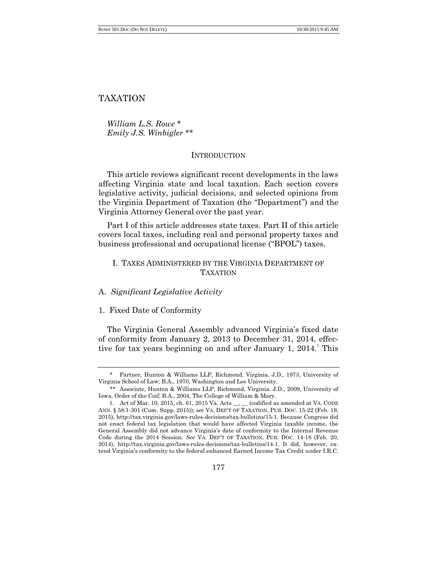TAXATION

*William L.S. Rowe* \* *Emily J.S. Winbigler* \*\*

# **INTRODUCTION**

This article reviews significant recent developments in the laws affecting Virginia state and local taxation. Each section covers legislative activity, judicial decisions, and selected opinions from the Virginia Department of Taxation (the "Department") and the Virginia Attorney General over the past year.

Part I of this article addresses state taxes. Part II of this article covers local taxes, including real and personal property taxes and business professional and occupational license ("BPOL") taxes.

# I. TAXES ADMINISTERED BY THE VIRGINIA DEPARTMENT OF **TAXATION**

## A. *Significant Legislative Activity*

## 1. Fixed Date of Conformity

The Virginia General Assembly advanced Virginia's fixed date of conformity from January 2, 2013 to December 31, 2014, effective for tax years beginning on and after January 1,  $2014$ .<sup>1</sup> This

Partner, Hunton & Williams LLP, Richmond, Virginia. J.D., 1973, University of Virginia School of Law; B.A., 1970, Washington and Lee University.

<sup>\*\*</sup> Associate, Hunton & Williams LLP, Richmond, Virginia. J.D., 2009, University of Iowa, Order of the Coif; B.A., 2004, The College of William & Mary.

<sup>1.</sup> Act of Mar. 10, 2015, ch. 61, 2015 Va. Acts \_\_, \_\_ (codified as amended at VA. CODE ANN. § 58.1-301 (Cum. Supp. 2015)); *see* VA. DEP'T OF TAXATION, PUB. DOC. 15-22 (Feb. 19, 2015), http://tax.virginia.gov/laws-rules-decisions/tax-bulletins/15-1. Because Congress did not enact federal tax legislation that would have affected Virginia taxable income, the General Assembly did not advance Virginia's date of conformity to the Internal Revenue Code during the 2014 Session. *See* VA. DEP'T OF TAXATION, PUB. DOC. 14-18 (Feb. 20, 2014), http://tax.virginia.gov/laws-rules-decisions/tax-bulletins/14-1. It did, however, extend Virginia's conformity to the federal enhanced Earned Income Tax Credit under I.R.C.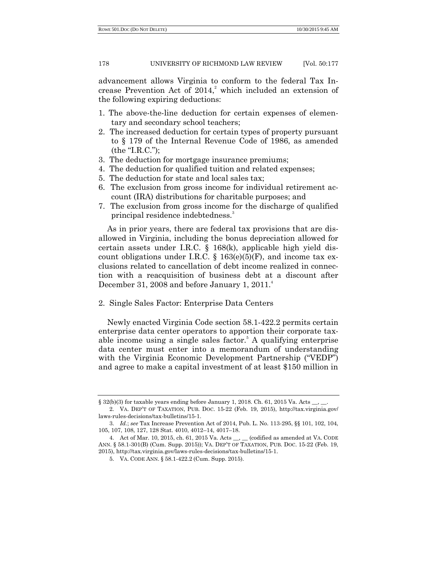advancement allows Virginia to conform to the federal Tax Increase Prevention Act of  $2014$ ,<sup>2</sup> which included an extension of the following expiring deductions:

- 1. The above-the-line deduction for certain expenses of elementary and secondary school teachers;
- 2. The increased deduction for certain types of property pursuant to § 179 of the Internal Revenue Code of 1986, as amended  $(the "I.R.C.");$
- 3. The deduction for mortgage insurance premiums;
- 4. The deduction for qualified tuition and related expenses;
- 5. The deduction for state and local sales tax;
- 6. The exclusion from gross income for individual retirement account (IRA) distributions for charitable purposes; and
- 7. The exclusion from gross income for the discharge of qualified principal residence indebtedness.<sup>3</sup>

As in prior years, there are federal tax provisions that are disallowed in Virginia, including the bonus depreciation allowed for certain assets under I.R.C. § 168(k), applicable high yield discount obligations under I.R.C. § 163 $(e)(5)$ (F), and income tax exclusions related to cancellation of debt income realized in connection with a reacquisition of business debt at a discount after December 31, 2008 and before January 1,  $2011.^4$ 

2. Single Sales Factor: Enterprise Data Centers

Newly enacted Virginia Code section 58.1-422.2 permits certain enterprise data center operators to apportion their corporate taxable income using a single sales factor.<sup>5</sup> A qualifying enterprise data center must enter into a memorandum of understanding with the Virginia Economic Development Partnership ("VEDP") and agree to make a capital investment of at least \$150 million in

<sup>§ 32(</sup>b)(3) for taxable years ending before January 1, 2018. Ch. 61, 2015 Va. Acts  $\_\_\_\_\_\_\_\_\_\$ 

<sup>2.</sup> VA. DEP'T OF TAXATION, PUB. DOC. 15-22 (Feb. 19, 2015), http://tax.virginia.gov/ laws-rules-decisions/tax-bulletins/15-1.

<sup>3.</sup> *Id.*; *see* Tax Increase Prevention Act of 2014, Pub. L. No. 113-295, §§ 101, 102, 104, 105, 107, 108, 127, 128 Stat. 4010, 4012–14, 4017–18.

<sup>4.</sup> Act of Mar. 10, 2015, ch. 61, 2015 Va. Acts \_\_, \_\_ (codified as amended at VA. CODE ANN. § 58.1-301(B) (Cum. Supp. 2015)); VA. DEP'T OF TAXATION, PUB. DOC. 15-22 (Feb. 19, 2015), http://tax.virginia.gov/laws-rules-decisions/tax-bulletins/15-1.

<sup>5.</sup> VA. CODE ANN. § 58.1-422.2 (Cum. Supp. 2015).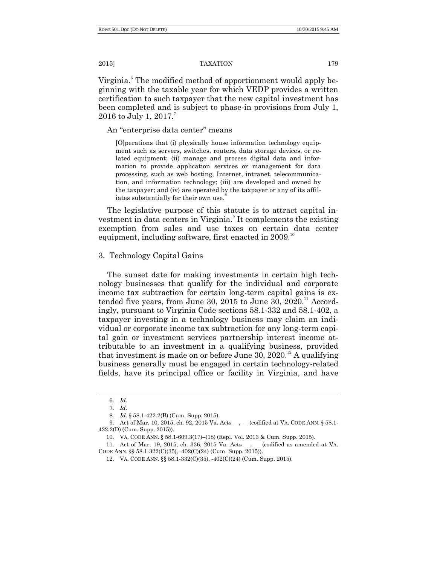Virginia.<sup>6</sup> The modified method of apportionment would apply beginning with the taxable year for which VEDP provides a written certification to such taxpayer that the new capital investment has been completed and is subject to phase-in provisions from July 1, 2016 to July 1, 2017.<sup>7</sup>

An "enterprise data center" means

[O]perations that (i) physically house information technology equipment such as servers, switches, routers, data storage devices, or related equipment; (ii) manage and process digital data and information to provide application services or management for data processing, such as web hosting, Internet, intranet, telecommunication, and information technology; (iii) are developed and owned by the taxpayer; and (iv) are operated by the taxpayer or any of its affiliates substantially for their own use.

The legislative purpose of this statute is to attract capital investment in data centers in Virginia.<sup>9</sup> It complements the existing exemption from sales and use taxes on certain data center equipment, including software, first enacted in  $2009$ .<sup>10</sup>

## 3. Technology Capital Gains

The sunset date for making investments in certain high technology businesses that qualify for the individual and corporate income tax subtraction for certain long-term capital gains is extended five years, from June 30, 2015 to June 30,  $2020$ .<sup>11</sup> Accordingly, pursuant to Virginia Code sections 58.1-332 and 58.1-402, a taxpayer investing in a technology business may claim an individual or corporate income tax subtraction for any long-term capital gain or investment services partnership interest income attributable to an investment in a qualifying business, provided that investment is made on or before June 30, 2020.<sup>12</sup> A qualifying business generally must be engaged in certain technology-related fields, have its principal office or facility in Virginia, and have

<sup>6.</sup> *Id.*

<sup>7.</sup> *Id*.

<sup>8.</sup> *Id.* § 58.1-422.2(B) (Cum. Supp. 2015).

<sup>9.</sup> Act of Mar. 10, 2015, ch. 92, 2015 Va. Acts \_\_, \_\_ (codified at VA. CODE ANN. § 58.1-422.2(D) (Cum. Supp. 2015)).

<sup>10.</sup> VA. CODE ANN. § 58.1-609.3(17)–(18) (Repl. Vol. 2013 & Cum. Supp. 2015).

<sup>11.</sup> Act of Mar. 19, 2015, ch. 336, 2015 Va. Acts \_\_, \_\_ (codified as amended at VA. CODE ANN. §§ 58.1-322(C)(35), -402(C)(24) (Cum. Supp. 2015)).

<sup>12.</sup> VA. CODE ANN. §§ 58.1-332(C)(35), -402(C)(24) (Cum. Supp. 2015).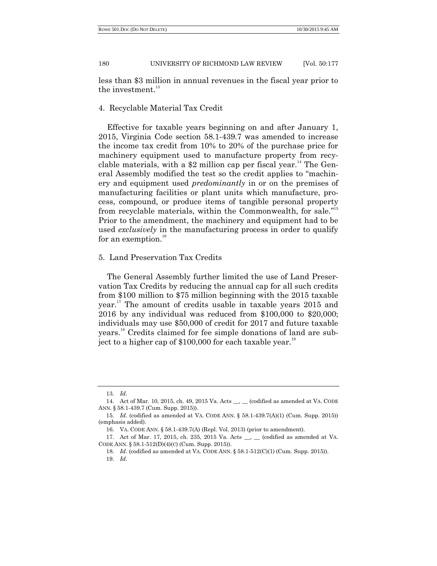less than \$3 million in annual revenues in the fiscal year prior to the investment. $13$ 

## 4. Recyclable Material Tax Credit

Effective for taxable years beginning on and after January 1, 2015, Virginia Code section 58.1-439.7 was amended to increase the income tax credit from 10% to 20% of the purchase price for machinery equipment used to manufacture property from recyclable materials, with a  $$2$  million cap per fiscal year.<sup>14</sup> The General Assembly modified the test so the credit applies to "machinery and equipment used *predominantly* in or on the premises of manufacturing facilities or plant units which manufacture, process, compound, or produce items of tangible personal property from recyclable materials, within the Commonwealth, for sale."<sup>15</sup> Prior to the amendment, the machinery and equipment had to be used *exclusively* in the manufacturing process in order to qualify for an exemption.<sup>16</sup>

## 5. Land Preservation Tax Credits

The General Assembly further limited the use of Land Preservation Tax Credits by reducing the annual cap for all such credits from \$100 million to \$75 million beginning with the 2015 taxable year. <sup>17</sup> The amount of credits usable in taxable years 2015 and 2016 by any individual was reduced from \$100,000 to \$20,000; individuals may use \$50,000 of credit for 2017 and future taxable years. <sup>18</sup> Credits claimed for fee simple donations of land are subject to a higher cap of  $$100,000$  for each taxable year.<sup>19</sup>

<sup>13.</sup> *Id*.

<sup>14.</sup> Act of Mar. 10, 2015, ch. 49, 2015 Va. Acts \_\_, \_\_ (codified as amended at VA. CODE ANN. § 58.1-439.7 (Cum. Supp. 2015)).

<sup>15.</sup> *Id.* (codified as amended at VA. CODE ANN. § 58.1-439.7(A)(1) (Cum. Supp. 2015)) (emphasis added).

<sup>16.</sup> VA. CODE ANN. § 58.1-439.7(A) (Repl. Vol. 2013) (prior to amendment).

<sup>17.</sup> Act of Mar. 17, 2015, ch. 235, 2015 Va. Acts \_\_, \_\_ (codified as amended at VA. CODE ANN. § 58.1-512(D)(4)(C) (Cum. Supp. 2015)).

<sup>18.</sup> *Id*. (codified as amended at VA. CODE ANN. § 58.1-512(C)(1) (Cum. Supp. 2015)). 19. *Id*.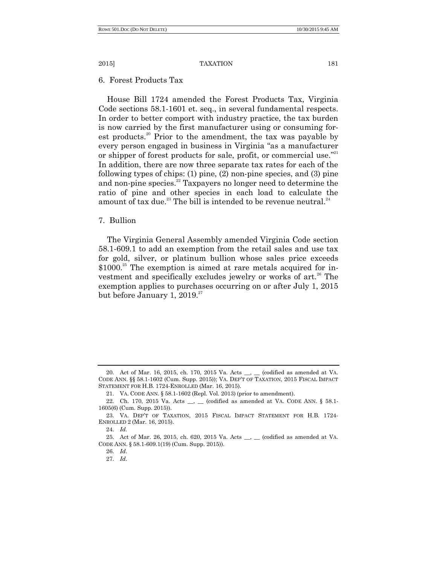6. Forest Products Tax

House Bill 1724 amended the Forest Products Tax, Virginia Code sections 58.1-1601 et. seq., in several fundamental respects. In order to better comport with industry practice, the tax burden is now carried by the first manufacturer using or consuming forest products.<sup>20</sup> Prior to the amendment, the tax was payable by every person engaged in business in Virginia "as a manufacturer or shipper of forest products for sale, profit, or commercial use."<sup>21</sup> In addition, there are now three separate tax rates for each of the following types of chips: (1) pine, (2) non-pine species, and (3) pine and non-pine species. $22$  Taxpayers no longer need to determine the ratio of pine and other species in each load to calculate the amount of tax due.<sup>23</sup> The bill is intended to be revenue neutral.<sup>24</sup>

7. Bullion

The Virginia General Assembly amended Virginia Code section 58.1-609.1 to add an exemption from the retail sales and use tax for gold, silver, or platinum bullion whose sales price exceeds  $$1000.<sup>25</sup>$  The exemption is aimed at rare metals acquired for investment and specifically excludes jewelry or works of art.<sup>26</sup> The exemption applies to purchases occurring on or after July 1, 2015 but before January 1,  $2019.^{27}$ 

<sup>20.</sup> Act of Mar. 16, 2015, ch. 170, 2015 Va. Acts \_\_, \_\_ (codified as amended at VA. CODE ANN. §§ 58.1-1602 (Cum. Supp. 2015)); VA. DEP'T OF TAXATION, 2015 FISCAL IMPACT STATEMENT FOR H.B. 1724-ENROLLED (Mar. 16, 2015).

<sup>21.</sup> VA. CODE ANN. § 58.1-1602 (Repl. Vol. 2013) (prior to amendment).

<sup>22.</sup> Ch. 170, 2015 Va. Acts \_\_, \_\_ (codified as amended at VA. CODE ANN. § 58.1-1605(6) (Cum. Supp. 2015)).

<sup>23.</sup> VA. DEP'T OF TAXATION, 2015 FISCAL IMPACT STATEMENT FOR H.B. 1724- ENROLLED 2 (Mar. 16, 2015).

<sup>24.</sup> *Id.*

<sup>25.</sup> Act of Mar. 26, 2015, ch. 620, 2015 Va. Acts \_\_, \_\_ (codified as amended at VA. CODE ANN. § 58.1-609.1(19) (Cum. Supp. 2015)).

<sup>26.</sup> *Id*.

<sup>27.</sup> *Id*.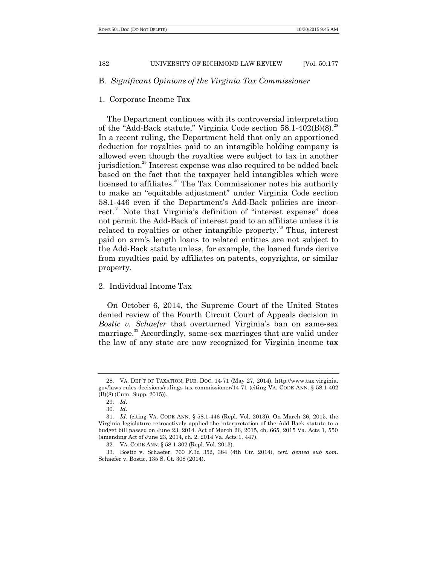# B. *Significant Opinions of the Virginia Tax Commissioner*

## 1. Corporate Income Tax

The Department continues with its controversial interpretation of the "Add-Back statute," Virginia Code section  $58.1-402(B)(8).^{28}$ In a recent ruling, the Department held that only an apportioned deduction for royalties paid to an intangible holding company is allowed even though the royalties were subject to tax in another jurisdiction.<sup>29</sup> Interest expense was also required to be added back based on the fact that the taxpayer held intangibles which were licensed to affiliates.<sup>30</sup> The Tax Commissioner notes his authority to make an "equitable adjustment" under Virginia Code section 58.1-446 even if the Department's Add-Back policies are incorrect. $31$  Note that Virginia's definition of "interest expense" does not permit the Add-Back of interest paid to an affiliate unless it is related to royalties or other intangible property.<sup>32</sup> Thus, interest paid on arm's length loans to related entities are not subject to the Add-Back statute unless, for example, the loaned funds derive from royalties paid by affiliates on patents, copyrights, or similar property.

## 2. Individual Income Tax

On October 6, 2014, the Supreme Court of the United States denied review of the Fourth Circuit Court of Appeals decision in *Bostic v. Schaefer* that overturned Virginia's ban on same-sex marriage.<sup>33</sup> Accordingly, same-sex marriages that are valid under the law of any state are now recognized for Virginia income tax

<sup>28.</sup> VA. DEP'T OF TAXATION, PUB. DOC. 14-71 (May 27, 2014), http://www.tax.virginia. gov/laws-rules-decisions/rulings-tax-commissioner/14-71 (citing VA. CODE ANN. § 58.1-402 (B)(8) (Cum. Supp. 2015)).

<sup>29.</sup> *Id*.

<sup>30.</sup> *Id*.

<sup>31.</sup> *Id.* (citing VA. CODE ANN. § 58.1-446 (Repl. Vol. 2013)). On March 26, 2015, the Virginia legislature retroactively applied the interpretation of the Add-Back statute to a budget bill passed on June 23, 2014. Act of March 26, 2015, ch. 665, 2015 Va. Acts 1, 550 (amending Act of June 23, 2014, ch. 2, 2014 Va. Acts 1, 447).

<sup>32.</sup> VA. CODE ANN. § 58.1-302 (Repl. Vol. 2013).

<sup>33.</sup> Bostic v. Schaefer, 760 F.3d 352, 384 (4th Cir. 2014), *cert. denied sub nom*. Schaefer v. Bostic, 135 S. Ct. 308 (2014).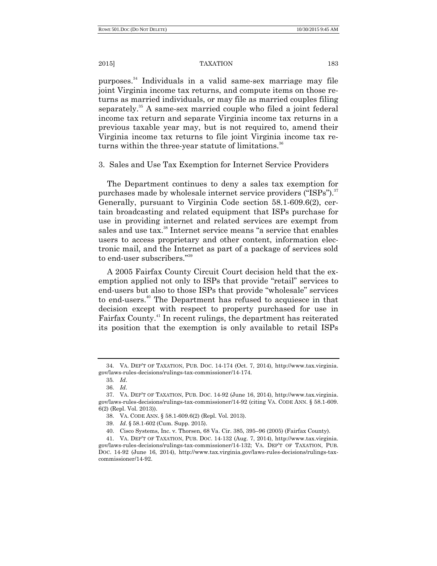purposes. <sup>34</sup> Individuals in a valid same-sex marriage may file joint Virginia income tax returns, and compute items on those returns as married individuals, or may file as married couples filing separately.<sup>35</sup> A same-sex married couple who filed a joint federal income tax return and separate Virginia income tax returns in a previous taxable year may, but is not required to, amend their Virginia income tax returns to file joint Virginia income tax returns within the three-year statute of limitations.<sup>36</sup>

3. Sales and Use Tax Exemption for Internet Service Providers

The Department continues to deny a sales tax exemption for purchases made by wholesale internet service providers  $("ISPs")$ .<sup>37</sup> Generally, pursuant to Virginia Code section 58.1-609.6(2), certain broadcasting and related equipment that ISPs purchase for use in providing internet and related services are exempt from sales and use tax.<sup>38</sup> Internet service means "a service that enables users to access proprietary and other content, information electronic mail, and the Internet as part of a package of services sold to end-user subscribers."<sup>39</sup>

A 2005 Fairfax County Circuit Court decision held that the exemption applied not only to ISPs that provide "retail" services to end-users but also to those ISPs that provide "wholesale" services to end-users. <sup>40</sup> The Department has refused to acquiesce in that decision except with respect to property purchased for use in Fairfax County.<sup>41</sup> In recent rulings, the department has reiterated its position that the exemption is only available to retail ISPs

<sup>34.</sup> VA. DEP'T OF TAXATION, PUB. DOC. 14-174 (Oct. 7, 2014), http://www.tax.virginia. gov/laws-rules-decisions/rulings-tax-commissioner/14-174.

<sup>35</sup>*. Id*.

<sup>36.</sup> *Id*.

<sup>37.</sup> VA. DEP'T OF TAXATION, PUB. DOC. 14-92 (June 16, 2014), http://www.tax.virginia. gov/laws-rules-decisions/rulings-tax-commissioner/14-92 (citing VA. CODE ANN. § 58.1-609. 6(2) (Repl. Vol. 2013)).

<sup>38.</sup> VA. CODE ANN. § 58.1-609.6(2) (Repl. Vol. 2013).

<sup>39.</sup> *Id*. § 58.1-602 (Cum. Supp. 2015).

<sup>40.</sup> Cisco Systems, Inc. v. Thorsen, 68 Va. Cir. 385, 395–96 (2005) (Fairfax County).

<sup>41.</sup> VA. DEP'T OF TAXATION, PUB. DOC. 14-132 (Aug. 7, 2014), http://www.tax.virginia. gov/laws-rules-decisions/rulings-tax-commissioner/14-132; VA. DEP'T OF TAXATION, PUB. DOC. 14-92 (June 16, 2014), http://www.tax.virginia.gov/laws-rules-decisions/rulings-taxcommissioner/14-92.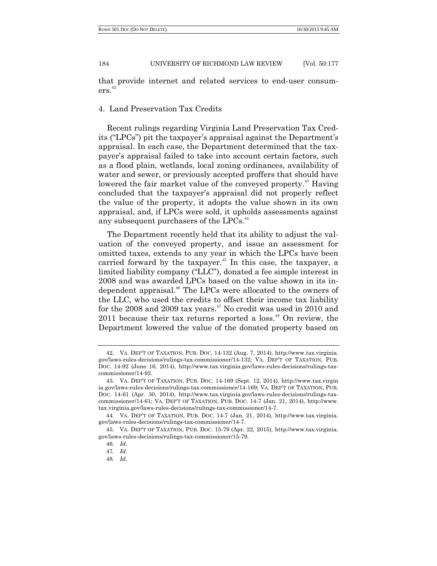that provide internet and related services to end-user consum- $\mathrm{ers.}^{42}$ 

#### 4. Land Preservation Tax Credits

Recent rulings regarding Virginia Land Preservation Tax Credits ("LPCs") pit the taxpayer's appraisal against the Department's appraisal. In each case, the Department determined that the taxpayer's appraisal failed to take into account certain factors, such as a flood plain, wetlands, local zoning ordinances, availability of water and sewer, or previously accepted proffers that should have lowered the fair market value of the conveyed property.<sup>43</sup> Having concluded that the taxpayer's appraisal did not properly reflect the value of the property, it adopts the value shown in its own appraisal, and, if LPCs were sold, it upholds assessments against any subsequent purchasers of the LPCs.<sup>44</sup>

The Department recently held that its ability to adjust the valuation of the conveyed property, and issue an assessment for omitted taxes, extends to any year in which the LPCs have been carried forward by the taxpayer.<sup>45</sup> In this case, the taxpayer, a limited liability company ("LLC"), donated a fee simple interest in 2008 and was awarded LPCs based on the value shown in its independent appraisal.<sup>46</sup> The LPCs were allocated to the owners of the LLC, who used the credits to offset their income tax liability for the 2008 and 2009 tax years.<sup>47</sup> No credit was used in 2010 and  $2011$  because their tax returns reported a loss.<sup>48</sup> On review, the Department lowered the value of the donated property based on

<sup>42.</sup> VA. DEP'T OF TAXATION, PUB. DOC. 14-132 (Aug. 7, 2014), http://www.tax.virginia. gov/laws-rules-decisions/rulings-tax-commissioner/14-132; VA. DEP'T OF TAXATION, PUB. DOC. 14-92 (June 16, 2014), http://www.tax.virginia.gov/laws-rules-decisions/rulings-taxcommissioner/14-92.

<sup>43.</sup> VA. DEP'T OF TAXATION, PUB. DOC. 14-169 (Sept. 12, 2014), http://www.tax.virgin ia.gov/laws-rules-decisions/rulings-tax-commissioner/14-169; VA. DEP'T OF TAXATION, PUB. DOC. 14-61 (Apr. 30, 2014), http://www.tax.virginia.gov/laws-rules-decisions/rulings-taxcommissioner/14-61; VA. DEP'T OF TAXATION, PUB. DOC. 14-7 (Jan. 21, 2014), http://www. tax.virginia.gov/laws-rules-decisions/rulings-tax-commissioner/14-7.

<sup>44.</sup> VA. DEP'T OF TAXATION, PUB. DOC. 14-7 (Jan. 21, 2014), http://www.tax.virginia. gov/laws-rules-decisions/rulings-tax-commissioner/14-7.

<sup>45.</sup> VA. DEP'T OF TAXATION, PUB. DOC. 15-79 (Apr. 22, 2015), http://www.tax.virginia. gov/laws-rules-decisions/rulings-tax-commissioner/15-79.

<sup>46.</sup> *Id*.

<sup>47</sup>*. Id*.

<sup>48</sup>*. Id*.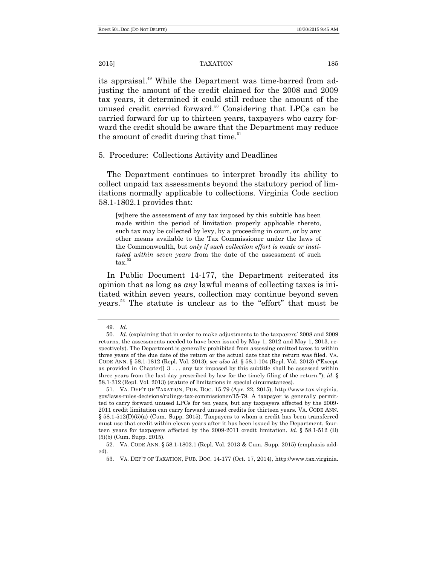its appraisal.<sup>49</sup> While the Department was time-barred from adjusting the amount of the credit claimed for the 2008 and 2009 tax years, it determined it could still reduce the amount of the unused credit carried forward.<sup>50</sup> Considering that LPCs can be carried forward for up to thirteen years, taxpayers who carry forward the credit should be aware that the Department may reduce the amount of credit during that time. $51$ 

## 5. Procedure: Collections Activity and Deadlines

The Department continues to interpret broadly its ability to collect unpaid tax assessments beyond the statutory period of limitations normally applicable to collections. Virginia Code section 58.1-1802.1 provides that:

[w]here the assessment of any tax imposed by this subtitle has been made within the period of limitation properly applicable thereto, such tax may be collected by levy, by a proceeding in court, or by any other means available to the Tax Commissioner under the laws of the Commonwealth, but *only if such collection effort is made or instituted within seven years* from the date of the assessment of such tax.

In Public Document 14-177, the Department reiterated its opinion that as long as *any* lawful means of collecting taxes is initiated within seven years, collection may continue beyond seven years.<sup>53</sup> The statute is unclear as to the "effort" that must be

<sup>49.</sup> *Id*.

<sup>50.</sup> *Id.* (explaining that in order to make adjustments to the taxpayers' 2008 and 2009 returns, the assessments needed to have been issued by May 1, 2012 and May 1, 2013, respectively). The Department is generally prohibited from assessing omitted taxes to within three years of the due date of the return or the actual date that the return was filed. VA. CODE ANN. § 58.1-1812 (Repl. Vol. 2013); *see also id.* § 58.1-104 (Repl. Vol. 2013) ("Except as provided in Chapter[] 3 . . . any tax imposed by this subtitle shall be assessed within three years from the last day prescribed by law for the timely filing of the return."); *id.*  $\S$ 58.1-312 (Repl. Vol. 2013) (statute of limitations in special circumstances).

<sup>51.</sup> VA. DEP'T OF TAXATION, PUB. DOC. 15-79 (Apr. 22, 2015), http://www.tax.virginia. gov/laws-rules-decisions/rulings-tax-commissioner/15-79. A taxpayer is generally permitted to carry forward unused LPCs for ten years, but any taxpayers affected by the 2009- 2011 credit limitation can carry forward unused credits for thirteen years. VA. CODE ANN. § 58.1-512(D)(5)(a) (Cum. Supp. 2015). Taxpayers to whom a credit has been transferred must use that credit within eleven years after it has been issued by the Department, fourteen years for taxpayers affected by the 2009-2011 credit limitation. *Id.* § 58.1-512 (D) (5)(b) (Cum. Supp. 2015).

<sup>52.</sup> VA. CODE ANN. § 58.1-1802.1 (Repl. Vol. 2013 & Cum. Supp. 2015) (emphasis added).

<sup>53.</sup> VA. DEP'T OF TAXATION, PUB. DOC. 14-177 (Oct. 17, 2014), http://www.tax.virginia.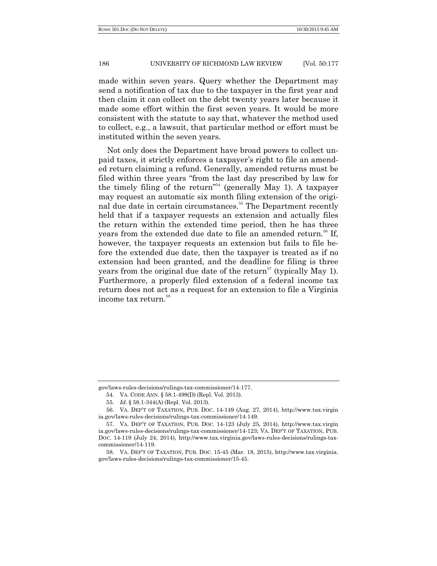made within seven years. Query whether the Department may send a notification of tax due to the taxpayer in the first year and then claim it can collect on the debt twenty years later because it made some effort within the first seven years. It would be more consistent with the statute to say that, whatever the method used to collect, e.g., a lawsuit, that particular method or effort must be instituted within the seven years.

Not only does the Department have broad powers to collect unpaid taxes, it strictly enforces a taxpayer's right to file an amended return claiming a refund. Generally, amended returns must be filed within three years "from the last day prescribed by law for the timely filing of the return<sup>354</sup> (generally May 1). A taxpayer may request an automatic six month filing extension of the original due date in certain circumstances.<sup>55</sup> The Department recently held that if a taxpayer requests an extension and actually files the return within the extended time period, then he has three years from the extended due date to file an amended return.<sup>56</sup> If, however, the taxpayer requests an extension but fails to file before the extended due date, then the taxpayer is treated as if no extension had been granted, and the deadline for filing is three years from the original due date of the return<sup>57</sup> (typically May 1). Furthermore, a properly filed extension of a federal income tax return does not act as a request for an extension to file a Virginia income tax return.<sup>58</sup>

gov/laws-rules-decisions/rulings-tax-commissioner/14-177.

<sup>54.</sup> VA. CODE ANN. § 58.1-499(D) (Repl. Vol. 2013).

<sup>55.</sup> *Id.* § 58.1-344(A) (Repl. Vol. 2013).

<sup>56.</sup> VA. DEP'T OF TAXATION, PUB. DOC. 14-149 (Aug. 27, 2014), http://www.tax.virgin ia.gov/laws-rules-decisions/rulings-tax-commissioner/14-149.

<sup>57.</sup> VA. DEP'T OF TAXATION, PUB. DOC. 14-123 (July 25, 2014), http://www.tax.virgin ia.gov/laws-rules-decisions/rulings-tax-commissioner/14-123; VA. DEP'T OF TAXATION, PUB. DOC. 14-119 (July 24, 2014), http://www.tax.virginia.gov/laws-rules-decisions/rulings-taxcommissioner/14-119.

<sup>58.</sup> VA. DEP'T OF TAXATION, PUB. DOC. 15-45 (Mar. 18, 2015), http://www.tax.virginia. gov/laws-rules-decisions/rulings-tax-commissioner/15-45.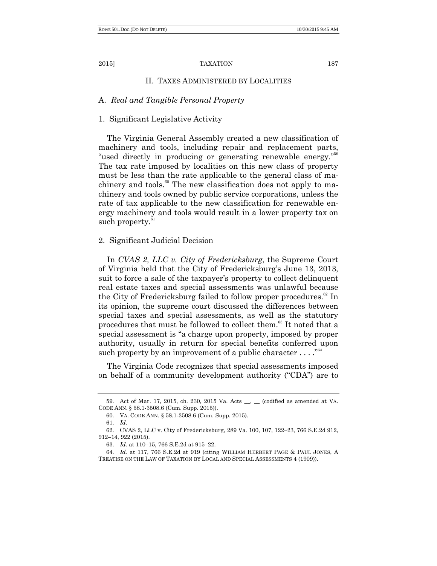### II. TAXES ADMINISTERED BY LOCALITIES

## A. *Real and Tangible Personal Property*

## 1. Significant Legislative Activity

The Virginia General Assembly created a new classification of machinery and tools, including repair and replacement parts, "used directly in producing or generating renewable energy."<sup>59</sup> The tax rate imposed by localities on this new class of property must be less than the rate applicable to the general class of machinery and tools.<sup>60</sup> The new classification does not apply to machinery and tools owned by public service corporations, unless the rate of tax applicable to the new classification for renewable energy machinery and tools would result in a lower property tax on such property. $61$ 

## 2. Significant Judicial Decision

In *CVAS 2, LLC v. City of Fredericksburg*, the Supreme Court of Virginia held that the City of Fredericksburg's June 13, 2013, suit to force a sale of the taxpayer's property to collect delinquent real estate taxes and special assessments was unlawful because the City of Fredericksburg failed to follow proper procedures.<sup>62</sup> In its opinion, the supreme court discussed the differences between special taxes and special assessments, as well as the statutory procedures that must be followed to collect them.<sup>63</sup> It noted that a special assessment is "a charge upon property, imposed by proper authority, usually in return for special benefits conferred upon such property by an improvement of a public character  $\dots$ ."<sup>64</sup>

The Virginia Code recognizes that special assessments imposed on behalf of a community development authority ("CDA") are to

<sup>59.</sup> Act of Mar. 17, 2015, ch. 230, 2015 Va. Acts \_\_, \_\_ (codified as amended at VA. CODE ANN. § 58.1-3508.6 (Cum. Supp. 2015)).

<sup>60.</sup> VA. CODE ANN. § 58.1-3508.6 (Cum. Supp. 2015).

<sup>61.</sup> *Id*.

<sup>62.</sup> CVAS 2, LLC v. City of Fredericksburg, 289 Va. 100, 107, 122–23, 766 S.E.2d 912, 912–14, 922 (2015).

<sup>63.</sup> *Id.* at 110–15, 766 S.E.2d at 915–22.

<sup>64.</sup> *Id.* at 117, 766 S.E.2d at 919 (citing WILLIAM HERBERT PAGE & PAUL JONES, A TREATISE ON THE LAW OF TAXATION BY LOCAL AND SPECIAL ASSESSMENTS 4 (1909)).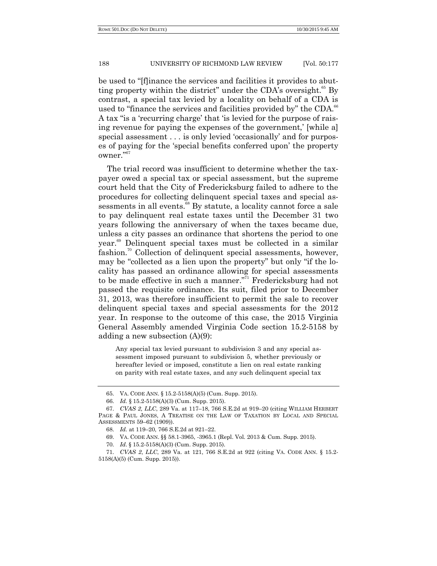be used to "fflinance the services and facilities it provides to abutting property within the district" under the CDA's oversight.<sup>65</sup> By contrast, a special tax levied by a locality on behalf of a CDA is used to "finance the services and facilities provided by" the CDA.<sup>66</sup> A tax "is a 'recurring charge' that 'is levied for the purpose of raising revenue for paying the expenses of the government,' [while a] special assessment . . . is only levied 'occasionally' and for purposes of paying for the ‗special benefits conferred upon' the property owner."<sup>67</sup>

The trial record was insufficient to determine whether the taxpayer owed a special tax or special assessment, but the supreme court held that the City of Fredericksburg failed to adhere to the procedures for collecting delinquent special taxes and special assessments in all events.<sup>68</sup> By statute, a locality cannot force a sale to pay delinquent real estate taxes until the December 31 two years following the anniversary of when the taxes became due, unless a city passes an ordinance that shortens the period to one year. <sup>69</sup> Delinquent special taxes must be collected in a similar fashion.<sup>70</sup> Collection of delinquent special assessments, however, may be "collected as a lien upon the property" but only "if the locality has passed an ordinance allowing for special assessments to be made effective in such a manner."<sup>1</sup> Fredericksburg had not passed the requisite ordinance. Its suit, filed prior to December 31, 2013, was therefore insufficient to permit the sale to recover delinquent special taxes and special assessments for the 2012 year. In response to the outcome of this case, the 2015 Virginia General Assembly amended Virginia Code section 15.2-5158 by adding a new subsection (A)(9):

Any special tax levied pursuant to subdivision 3 and any special assessment imposed pursuant to subdivision 5, whether previously or hereafter levied or imposed, constitute a lien on real estate ranking on parity with real estate taxes, and any such delinquent special tax

<sup>65.</sup> VA. CODE ANN. § 15.2-5158(A)(5) (Cum. Supp. 2015).

<sup>66.</sup> *Id.* § 15.2-5158(A)(3) (Cum. Supp. 2015).

<sup>67.</sup> *CVAS 2, LLC*, 289 Va. at 117–18, 766 S.E.2d at 919–20 (citing WILLIAM HERBERT PAGE & PAUL JONES, A TREATISE ON THE LAW OF TAXATION BY LOCAL AND SPECIAL ASSESSMENTS 59–62 (1909)).

<sup>68.</sup> *Id.* at 119–20, 766 S.E.2d at 921–22.

<sup>69.</sup> VA. CODE ANN. §§ 58.1-3965, -3965.1 (Repl. Vol. 2013 & Cum. Supp. 2015).

<sup>70.</sup> *Id*. § 15.2-5158(A)(3) (Cum. Supp. 2015).

<sup>71.</sup> *CVAS 2*, *LLC*, 289 Va. at 121, 766 S.E.2d at 922 (citing VA. CODE ANN. § 15.2- 5158(A)(5) (Cum. Supp. 2015)).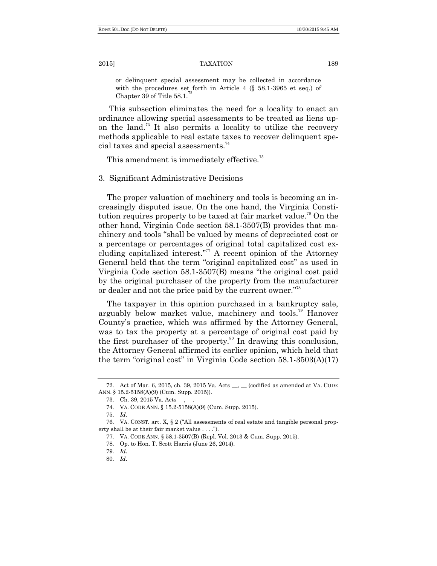or delinquent special assessment may be collected in accordance with the procedures set forth in Article 4 (§ 58.1-3965 et seq.) of Chapter 39 of Title 58.1.

This subsection eliminates the need for a locality to enact an ordinance allowing special assessments to be treated as liens upon the land.<sup>73</sup> It also permits a locality to utilize the recovery methods applicable to real estate taxes to recover delinquent special taxes and special assessments. 74

This amendment is immediately effective.<sup>75</sup>

3. Significant Administrative Decisions

The proper valuation of machinery and tools is becoming an increasingly disputed issue. On the one hand, the Virginia Constitution requires property to be taxed at fair market value.<sup>76</sup> On the other hand, Virginia Code section 58.1-3507(B) provides that machinery and tools "shall be valued by means of depreciated cost or a percentage or percentages of original total capitalized cost excluding capitalized interest."<sup>77</sup> A recent opinion of the Attorney General held that the term "original capitalized cost" as used in Virginia Code section  $58.1-3507(B)$  means "the original cost paid by the original purchaser of the property from the manufacturer or dealer and not the price paid by the current owner."<sup>78</sup>

The taxpayer in this opinion purchased in a bankruptcy sale, arguably below market value, machinery and tools.<sup>79</sup> Hanover County's practice, which was affirmed by the Attorney General, was to tax the property at a percentage of original cost paid by the first purchaser of the property.<sup>80</sup> In drawing this conclusion, the Attorney General affirmed its earlier opinion, which held that the term "original cost" in Virginia Code section  $58.1-3503(A)(17)$ 

<sup>72.</sup> Act of Mar. 6, 2015, ch. 39, 2015 Va. Acts \_\_, \_\_ (codified as amended at VA. CODE ANN. § 15.2-5158(A)(9) (Cum. Supp. 2015)).

<sup>73.</sup> Ch. 39, 2015 Va. Acts \_\_, \_\_.

<sup>74.</sup> VA. CODE ANN. § 15.2-5158(A)(9) (Cum. Supp. 2015).

<sup>75.</sup> *Id*.

<sup>76.</sup> VA. CONST. art. X,  $\S 2$  ("All assessments of real estate and tangible personal property shall be at their fair market value . . . .").

<sup>77.</sup> VA. CODE ANN. § 58.1-3507(B) (Repl. Vol. 2013 & Cum. Supp. 2015).

<sup>78.</sup> Op. to Hon. T. Scott Harris (June 26, 2014).

<sup>79.</sup> *Id*.

<sup>80.</sup> *Id*.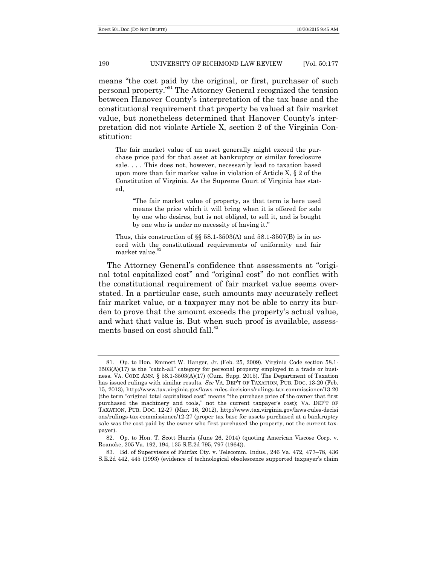means "the cost paid by the original, or first, purchaser of such personal property."<sup>81</sup> The Attorney General recognized the tension between Hanover County's interpretation of the tax base and the constitutional requirement that property be valued at fair market value, but nonetheless determined that Hanover County's interpretation did not violate Article X, section 2 of the Virginia Constitution:

The fair market value of an asset generally might exceed the purchase price paid for that asset at bankruptcy or similar foreclosure sale. . . . This does not, however, necessarily lead to taxation based upon more than fair market value in violation of Article X, § 2 of the Constitution of Virginia. As the Supreme Court of Virginia has stated,

―The fair market value of property, as that term is here used means the price which it will bring when it is offered for sale by one who desires, but is not obliged, to sell it, and is bought by one who is under no necessity of having it."

Thus, this construction of  $\S$  58.1-3503(A) and 58.1-3507(B) is in accord with the constitutional requirements of uniformity and fair market value.<sup>8</sup>

The Attorney General's confidence that assessments at "original total capitalized cost" and "original cost" do not conflict with the constitutional requirement of fair market value seems overstated. In a particular case, such amounts may accurately reflect fair market value, or a taxpayer may not be able to carry its burden to prove that the amount exceeds the property's actual value, and what that value is. But when such proof is available, assessments based on cost should fall.<sup>83</sup>

<sup>81.</sup> Op. to Hon. Emmett W. Hanger, Jr. (Feb. 25, 2009). Virginia Code section 58.1-  $3503(A)(17)$  is the "catch-all" category for personal property employed in a trade or business. VA. CODE ANN. § 58.1-3503(A)(17) (Cum. Supp. 2015). The Department of Taxation has issued rulings with similar results. *See* VA. DEP'T OF TAXATION, PUB. DOC. 13-20 (Feb. 15, 2013), http://www.tax.virginia.gov/laws-rules-decisions/rulings-tax-commissioner/13-20 (the term "original total capitalized cost" means "the purchase price of the owner that first purchased the machinery and tools," not the current taxpayer's cost); VA. DEP'T OF TAXATION, PUB. DOC. 12-27 (Mar. 16, 2012), http://www.tax.virginia.gov/laws-rules-decisi ons/rulings-tax-commissioner/12-27 (proper tax base for assets purchased at a bankruptcy sale was the cost paid by the owner who first purchased the property, not the current taxpayer).

<sup>82.</sup> Op. to Hon. T. Scott Harris (June 26, 2014) (quoting American Viscose Corp. v. Roanoke, 205 Va. 192, 194, 135 S.E.2d 795, 797 (1964)).

<sup>83.</sup> Bd. of Supervisors of Fairfax Cty. v. Telecomm. Indus., 246 Va. 472, 477–78, 436 S.E.2d 442, 445 (1993) (evidence of technological obsolescence supported taxpayer's claim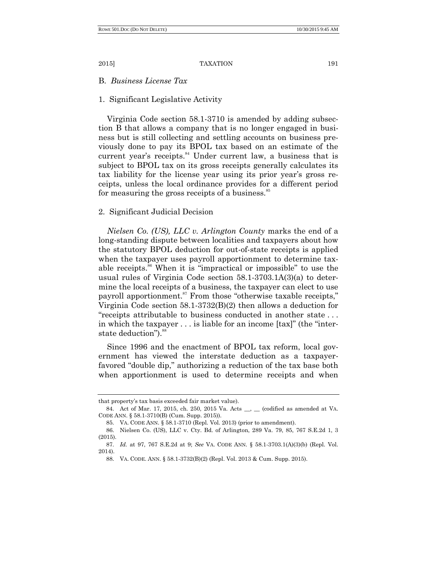B. *Business License Tax*

## 1. Significant Legislative Activity

Virginia Code section 58.1-3710 is amended by adding subsection B that allows a company that is no longer engaged in business but is still collecting and settling accounts on business previously done to pay its BPOL tax based on an estimate of the current year's receipts.<sup>84</sup> Under current law, a business that is subject to BPOL tax on its gross receipts generally calculates its tax liability for the license year using its prior year's gross receipts, unless the local ordinance provides for a different period for measuring the gross receipts of a business.<sup>85</sup>

## 2. Significant Judicial Decision

*Nielsen Co. (US), LLC v. Arlington County* marks the end of a long-standing dispute between localities and taxpayers about how the statutory BPOL deduction for out-of-state receipts is applied when the taxpayer uses payroll apportionment to determine taxable receipts.<sup>86</sup> When it is "impractical or impossible" to use the usual rules of Virginia Code section 58.1-3703.1A(3)(a) to determine the local receipts of a business, the taxpayer can elect to use payroll apportionment.<sup>87</sup> From those "otherwise taxable receipts," Virginia Code section 58.1-3732(B)(2) then allows a deduction for "receipts attributable to business conducted in another state... in which the taxpayer  $\dots$  is liable for an income [tax]" (the "interstate deduction").<sup>88</sup>

Since 1996 and the enactment of BPOL tax reform, local government has viewed the interstate deduction as a taxpayerfavored "double dip," authorizing a reduction of the tax base both when apportionment is used to determine receipts and when

that property's tax basis exceeded fair market value).

<sup>84.</sup> Act of Mar. 17, 2015, ch. 250, 2015 Va. Acts \_\_, \_\_ (codified as amended at VA. CODE ANN. § 58.1-3710(B) (Cum. Supp. 2015)).

<sup>85.</sup> VA. CODE ANN. § 58.1-3710 (Repl. Vol. 2013) (prior to amendment).

<sup>86.</sup> Nielsen Co. (US), LLC v. Cty. Bd. of Arlington, 289 Va. 79, 85, 767 S.E.2d 1, 3 (2015).

<sup>87.</sup> *Id.* at 97, 767 S.E.2d at 9; *See* VA. CODE ANN. § 58.1-3703.1(A)(3)(b) (Repl. Vol. 2014).

<sup>88.</sup> VA. CODE. ANN. § 58.1-3732(B)(2) (Repl. Vol. 2013 & Cum. Supp. 2015).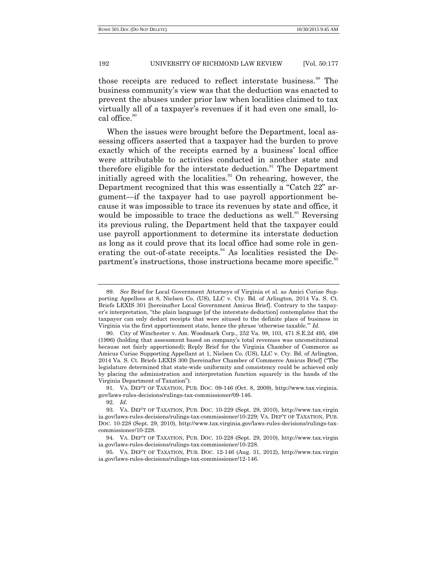those receipts are reduced to reflect interstate business.<sup>89</sup> The business community's view was that the deduction was enacted to prevent the abuses under prior law when localities claimed to tax virtually all of a taxpayer's revenues if it had even one small, local office.<sup>90</sup>

When the issues were brought before the Department, local assessing officers asserted that a taxpayer had the burden to prove exactly which of the receipts earned by a business' local office were attributable to activities conducted in another state and therefore eligible for the interstate deduction. $91$  The Department initially agreed with the localities.<sup>92</sup> On rehearing, however, the Department recognized that this was essentially a "Catch 22" argument—if the taxpayer had to use payroll apportionment because it was impossible to trace its revenues by state and office, it would be impossible to trace the deductions as well.<sup>93</sup> Reversing its previous ruling, the Department held that the taxpayer could use payroll apportionment to determine its interstate deduction as long as it could prove that its local office had some role in generating the out-of-state receipts.<sup>94</sup> As localities resisted the Department's instructions, those instructions became more specific.<sup>95</sup>

<sup>89.</sup> *See* Brief for Local Government Attorneys of Virginia et al. as Amici Curiae Supporting Appellees at 8, Nielsen Co. (US), LLC v. Cty. Bd. of Arlington, 2014 Va. S. Ct. Briefs LEXIS 301 [hereinafter Local Government Amicus Brief]. Contrary to the taxpayer's interpretation, "the plain language [of the interstate deduction] contemplates that the taxpayer can only deduct receipts that were sitused to the definite place of business in Virginia via the first apportionment state, hence the phrase 'otherwise taxable." *Id.* 

<sup>90.</sup> City of Winchester v. Am. Woodmark Corp., 252 Va. 98, 103, 471 S.E.2d 495, 498 (1996) (holding that assessment based on company's total revenues was unconstitutional because not fairly apportioned); Reply Brief for the Virginia Chamber of Commerce as Amicus Curiae Supporting Appellant at 1, Nielsen Co. (US), LLC v. Cty. Bd. of Arlington, 2014 Va. S. Ct. Briefs LEXIS 300 [hereinafter Chamber of Commerce Amicus Brief] ("The legislature determined that state-wide uniformity and consistency could be achieved only by placing the administration and interpretation function squarely in the hands of the Virginia Department of Taxation").

<sup>91.</sup> VA. DEP'T OF TAXATION, PUB. DOC. 09-146 (Oct. 8, 2009), http://www.tax.virginia. gov/laws-rules-decisions/rulings-tax-commissioner/09-146.

<sup>92.</sup> *Id.*

<sup>93.</sup> VA. DEP'T OF TAXATION, PUB. DOC. 10-229 (Sept. 29, 2010), http://www.tax.virgin ia.gov/laws-rules-decisions/rulings-tax-commissioner/10-229; VA. DEP'T OF TAXATION, PUB. DOC. 10-228 (Sept. 29, 2010), http://www.tax.virginia.gov/laws-rules-decisions/rulings-taxcommissioner/10-228.

<sup>94.</sup> VA. DEP'T OF TAXATION, PUB. DOC. 10-228 (Sept. 29, 2010), http://www.tax.virgin ia.gov/laws-rules-decisions/rulings-tax-commissioner/10-228.

<sup>95.</sup> VA. DEP'T OF TAXATION, PUB. DOC. 12-146 (Aug. 31, 2012), http://www.tax.virgin ia.gov/laws-rules-decisions/rulings-tax-commissioner/12-146.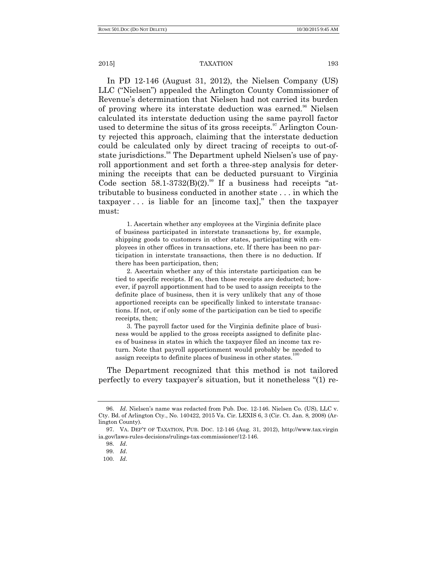In PD 12-146 (August 31, 2012), the Nielsen Company (US) LLC ("Nielsen") appealed the Arlington County Commissioner of Revenue's determination that Nielsen had not carried its burden of proving where its interstate deduction was earned.<sup>96</sup> Nielsen calculated its interstate deduction using the same payroll factor used to determine the situs of its gross receipts. $\mathbb{S}^{7}$  Arlington County rejected this approach, claiming that the interstate deduction could be calculated only by direct tracing of receipts to out-ofstate jurisdictions.<sup>98</sup> The Department upheld Nielsen's use of payroll apportionment and set forth a three-step analysis for determining the receipts that can be deducted pursuant to Virginia Code section  $58.1-3732(B)(2)$ .<sup>99</sup> If a business had receipts "attributable to business conducted in another state . . . in which the  $\alpha$  taxpayer  $\ldots$  is liable for an [income tax]," then the taxpayer must:

1. Ascertain whether any employees at the Virginia definite place of business participated in interstate transactions by, for example, shipping goods to customers in other states, participating with employees in other offices in transactions, etc. If there has been no participation in interstate transactions, then there is no deduction. If there has been participation, then;

2. Ascertain whether any of this interstate participation can be tied to specific receipts. If so, then those receipts are deducted; however, if payroll apportionment had to be used to assign receipts to the definite place of business, then it is very unlikely that any of those apportioned receipts can be specifically linked to interstate transactions. If not, or if only some of the participation can be tied to specific receipts, then;

3. The payroll factor used for the Virginia definite place of business would be applied to the gross receipts assigned to definite places of business in states in which the taxpayer filed an income tax return. Note that payroll apportionment would probably be needed to assign receipts to definite places of business in other states.

The Department recognized that this method is not tailored perfectly to every taxpayer's situation, but it nonetheless "(1) re-

<sup>96.</sup> *Id*. Nielsen's name was redacted from Pub. Doc. 12-146. Nielsen Co. (US), LLC v. Cty. Bd. of Arlington Cty., No. 140422, 2015 Va. Cir. LEXIS 6, 3 (Cir. Ct. Jan. 8, 2008) (Arlington County).

<sup>97.</sup> VA. DEP'T OF TAXATION, PUB. DOC. 12-146 (Aug. 31, 2012), http://www.tax.virgin ia.gov/laws-rules-decisions/rulings-tax-commissioner/12-146.

<sup>98.</sup> *Id*.

<sup>99.</sup> *Id*.

<sup>100.</sup> *Id*.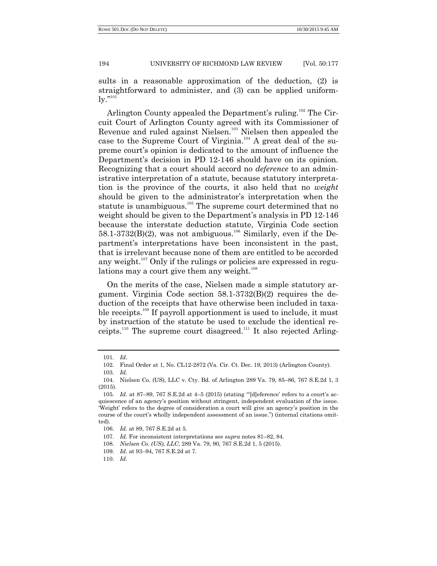sults in a reasonable approximation of the deduction, (2) is straightforward to administer, and (3) can be applied uniform- $\lg$ ." $^{101}$ 

Arlington County appealed the Department's ruling.<sup>102</sup> The Circuit Court of Arlington County agreed with its Commissioner of Revenue and ruled against Nielsen.<sup>103</sup> Nielsen then appealed the case to the Supreme Court of Virginia. <sup>104</sup> A great deal of the supreme court's opinion is dedicated to the amount of influence the Department's decision in PD 12-146 should have on its opinion. Recognizing that a court should accord no *deference* to an administrative interpretation of a statute, because statutory interpretation is the province of the courts, it also held that no *weight* should be given to the administrator's interpretation when the statute is unambiguous.<sup>105</sup> The supreme court determined that no weight should be given to the Department's analysis in PD 12-146 because the interstate deduction statute, Virginia Code section  $58.1-3732(B)(2)$ , was not ambiguous.<sup>106</sup> Similarly, even if the Department's interpretations have been inconsistent in the past, that is irrelevant because none of them are entitled to be accorded any weight.<sup>107</sup> Only if the rulings or policies are expressed in regulations may a court give them any weight. $108$ 

On the merits of the case, Nielsen made a simple statutory argument. Virginia Code section 58.1-3732(B)(2) requires the deduction of the receipts that have otherwise been included in taxable receipts.<sup>109</sup> If payroll apportionment is used to include, it must by instruction of the statute be used to exclude the identical receipts.<sup>110</sup> The supreme court disagreed.<sup>111</sup> It also rejected Arling-

<sup>101.</sup> *Id*.

<sup>102.</sup> Final Order at 1, No. CL12-2872 (Va. Cir. Ct. Dec. 19, 2013) (Arlington County).

<sup>103.</sup> *Id.*

<sup>104.</sup> Nielsen Co. (US), LLC v. Cty. Bd. of Arlington 289 Va. 79, 85–86, 767 S.E.2d 1, 3 (2015).

<sup>105.</sup> *Id.* at 87–89, 767 S.E.2d at 4–5 (2015) (stating "[d]eference' refers to a court's acquiescence of an agency's position without stringent, independent evaluation of the issue. ‗Weight' refers to the degree of consideration a court will give an agency's position in the course of the court's wholly independent assessment of an issue.‖) (internal citations omitted).

<sup>106.</sup> *Id.* at 89, 767 S.E.2d at 5.

<sup>107.</sup> *Id.* For inconsistent interpretations see *supra* notes 81–82, 84.

<sup>108.</sup> *Nielsen Co. (US), LLC*, 289 Va. 79, 90, 767 S.E.2d 1, 5 (2015).

<sup>109.</sup> *Id.* at 93–94, 767 S.E.2d at 7.

<sup>110.</sup> *Id.*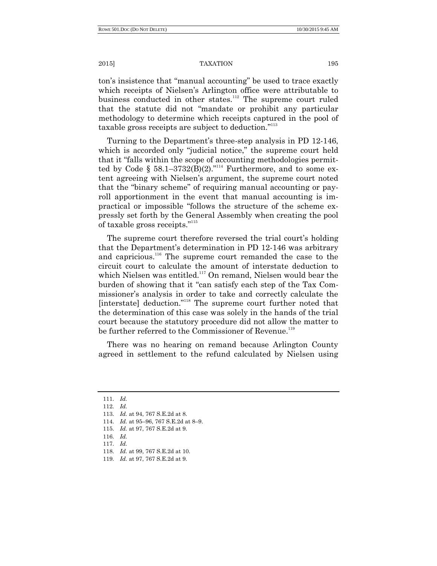ton's insistence that "manual accounting" be used to trace exactly which receipts of Nielsen's Arlington office were attributable to business conducted in other states.<sup>112</sup> The supreme court ruled that the statute did not "mandate or prohibit any particular methodology to determine which receipts captured in the pool of taxable gross receipts are subject to deduction."<sup>113</sup>

Turning to the Department's three-step analysis in PD 12-146, which is accorded only "judicial notice," the supreme court held that it "falls within the scope of accounting methodologies permitted by Code §  $58.1-3732(B)(2)$ ."<sup>114</sup> Furthermore, and to some extent agreeing with Nielsen's argument, the supreme court noted that the "binary scheme" of requiring manual accounting or payroll apportionment in the event that manual accounting is impractical or impossible "follows the structure of the scheme expressly set forth by the General Assembly when creating the pool of taxable gross receipts."<sup>115</sup>

The supreme court therefore reversed the trial court's holding that the Department's determination in PD 12-146 was arbitrary and capricious.<sup>116</sup> The supreme court remanded the case to the circuit court to calculate the amount of interstate deduction to which Nielsen was entitled.<sup>117</sup> On remand, Nielsen would bear the burden of showing that it "can satisfy each step of the Tax Commissioner's analysis in order to take and correctly calculate the [interstate] deduction."<sup>118</sup> The supreme court further noted that the determination of this case was solely in the hands of the trial court because the statutory procedure did not allow the matter to be further referred to the Commissioner of Revenue.<sup>119</sup>

There was no hearing on remand because Arlington County agreed in settlement to the refund calculated by Nielsen using

<sup>111.</sup> *Id.*

<sup>112.</sup> *Id.*

<sup>113.</sup> *Id.* at 94, 767 S.E.2d at 8.

<sup>114.</sup> *Id.* at 95–96, 767 S.E.2d at 8–9.

<sup>115.</sup> *Id.* at 97, 767 S.E.2d at 9.

<sup>116.</sup> *Id.*

<sup>117.</sup> *Id.*

<sup>118.</sup> *Id.* at 99, 767 S.E.2d at 10.

<sup>119.</sup> *Id.* at 97, 767 S.E.2d at 9.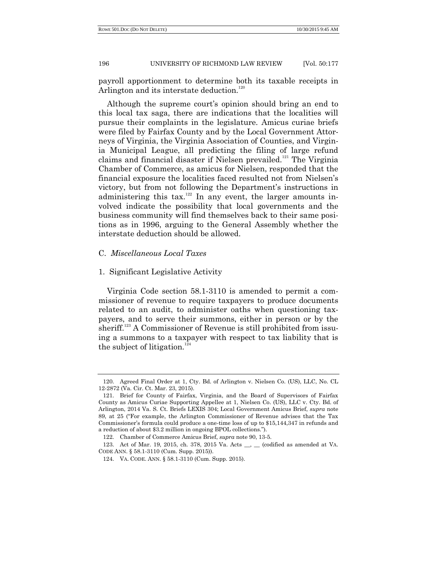payroll apportionment to determine both its taxable receipts in Arlington and its interstate deduction.<sup>120</sup>

Although the supreme court's opinion should bring an end to this local tax saga, there are indications that the localities will pursue their complaints in the legislature. Amicus curiae briefs were filed by Fairfax County and by the Local Government Attorneys of Virginia, the Virginia Association of Counties, and Virginia Municipal League, all predicting the filing of large refund claims and financial disaster if Nielsen prevailed.<sup>121</sup> The Virginia Chamber of Commerce, as amicus for Nielsen, responded that the financial exposure the localities faced resulted not from Nielsen's victory, but from not following the Department's instructions in administering this tax.<sup>122</sup> In any event, the larger amounts involved indicate the possibility that local governments and the business community will find themselves back to their same positions as in 1996, arguing to the General Assembly whether the interstate deduction should be allowed.

## C. *Miscellaneous Local Taxes*

## 1. Significant Legislative Activity

Virginia Code section 58.1-3110 is amended to permit a commissioner of revenue to require taxpayers to produce documents related to an audit, to administer oaths when questioning taxpayers, and to serve their summons, either in person or by the sheriff.<sup>123</sup> A Commissioner of Revenue is still prohibited from issuing a summons to a taxpayer with respect to tax liability that is the subject of litigation.<sup>124</sup>

<sup>120.</sup> Agreed Final Order at 1, Cty. Bd. of Arlington v. Nielsen Co. (US), LLC, No. CL 12-2872 (Va. Cir. Ct. Mar. 23, 2015).

<sup>121.</sup> Brief for County of Fairfax, Virginia, and the Board of Supervisors of Fairfax County as Amicus Curiae Supporting Appellee at 1, Nielsen Co. (US), LLC v. Cty. Bd. of Arlington, 2014 Va. S. Ct. Briefs LEXIS 304; Local Government Amicus Brief, *supra* note 89, at 25 ("For example, the Arlington Commissioner of Revenue advises that the Tax Commissioner's formula could produce a one-time loss of up to \$15,144,347 in refunds and a reduction of about \$3.2 million in ongoing BPOL collections.").

<sup>122.</sup> Chamber of Commerce Amicus Brief, *supra* note 90, 13-5.

<sup>123.</sup> Act of Mar. 19, 2015, ch. 378, 2015 Va. Acts \_\_, \_\_ (codified as amended at VA. CODE ANN. § 58.1-3110 (Cum. Supp. 2015)).

<sup>124.</sup> VA. CODE. ANN. § 58.1-3110 (Cum. Supp. 2015).